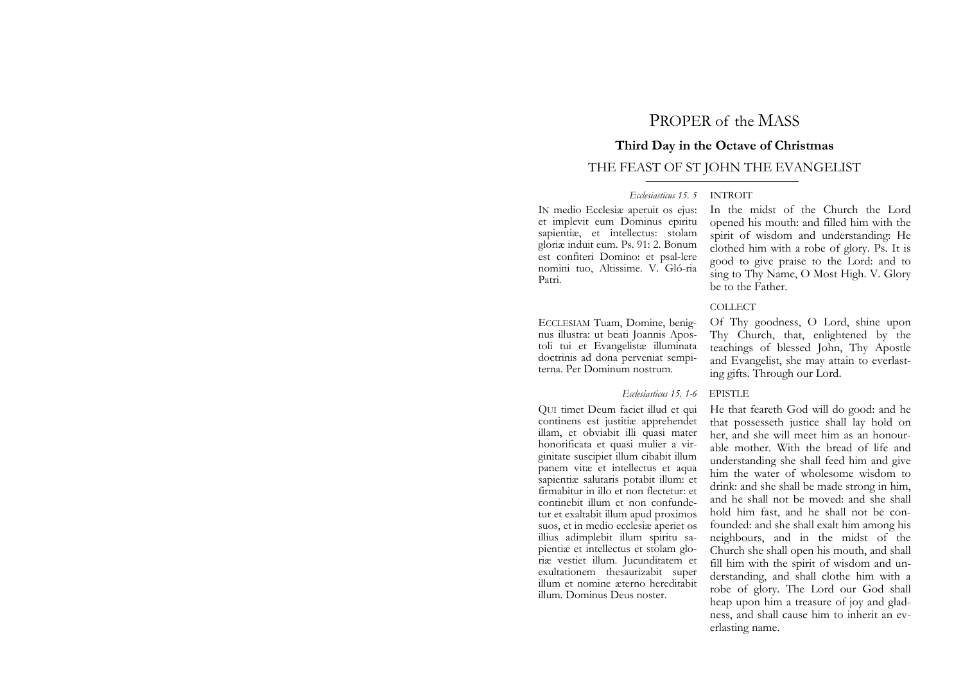# PROPER of the MASS

# **Third Day in the Octave of Christmas**

# THE FEAST OF ST JOHN THE EVANGELIST

## *Ecclesiasticus 15. 5* INTROIT

IN medio Ecclesiæ aperuit os ejus: et implevit eum Dominus epiritu sapientiæ, et intellectus: stolam gloriæ induit eum. Ps. 91: 2. Bonum est confiteri Domino: et psal-lere nomini tuo, Altissime. V. Gló-ria Patri.

ECCLESIAM Tuam, Domine, benignus illustra: ut beati Joannis Apostoli tui et Evangelistæ illuminata doctrinis ad dona perveniat sempiterna. Per Dominum nostrum.

### *Ecclesiasticus 15. 1-6* EPISTLE

QUI timet Deum faciet illud et qui continens est justitiæ apprehendet illam, et obviabit illi quasi mater honorificata et quasi mulier a virginitate suscipiet illum cibabit illum panem vitæ et intellectus et aqua sapientiæ salutaris potabit illum: et firmabitur in illo et non flectetur: et continebit illum et non confundetur et exaltabit illum apud proximos suos, et in medio ecclesiæ aperiet os illius adimplebit illum spiritu sapientiæ et intellectus et stolam gloriæ vestiet illum. Jucunditatem et exultationem thesaurizabit super illum et nomine æterno hereditabit illum. Dominus Deus noster.

In the midst of the Church the Lord opened his mouth: and filled him with the spirit of wisdom and understanding: He clothed him with a robe of glory. Ps. It is good to give praise to the Lord: and to sing to Thy Name, O Most High. V. Glory be to the Father.

## COLLECT

Of Thy goodness, O Lord, shine upon Thy Church, that, enlightened by the teachings of blessed John, Thy Apostle and Evangelist, she may attain to everlasting gifts. Through our Lord.

He that feareth God will do good: and he that possesseth justice shall lay hold on her, and she will meet him as an honourable mother. With the bread of life and understanding she shall feed him and give him the water of wholesome wisdom to drink: and she shall be made strong in him, and he shall not be moved: and she shall hold him fast, and he shall not be confounded: and she shall exalt him among his neighbours, and in the midst of the Church she shall open his mouth, and shall fill him with the spirit of wisdom and understanding, and shall clothe him with a robe of glory. The Lord our God shall heap upon him a treasure of joy and gladness, and shall cause him to inherit an everlasting name.